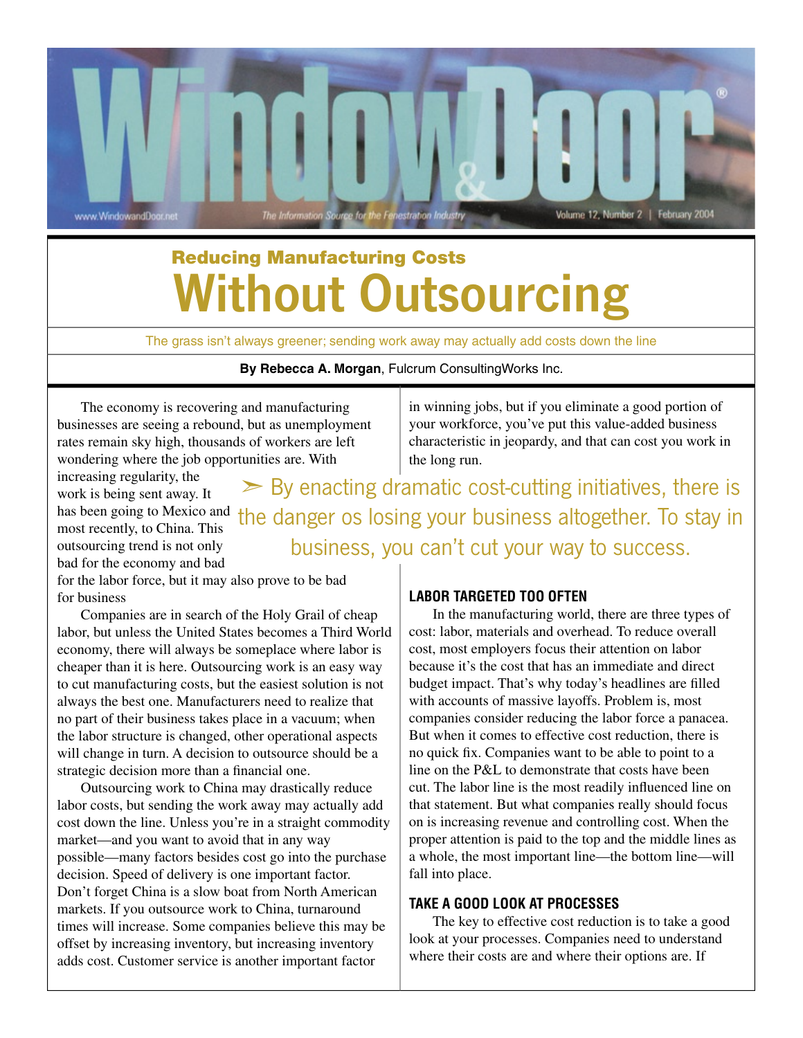

## Reducing Manufacturing Costs Without Outsourcing

The grass isn't always greener; sending work away may actually add costs down the line

**By Rebecca A. Morgan**, Fulcrum ConsultingWorks Inc.

The economy is recovering and manufacturing businesses are seeing a rebound, but as unemployment rates remain sky high, thousands of workers are left wondering where the job opportunities are. With

in winning jobs, but if you eliminate a good portion of your workforce, you've put this value-added business characteristic in jeopardy, and that can cost you work in the long run.

increasing regularity, the work is being sent away. It most recently, to China. This outsourcing trend is not only bad for the economy and bad

has been going to Mexico and the danger os losing your business altogether. To stay in  $\triangleright$  By enacting dramatic cost-cutting initiatives, there is business, you can't cut your way to success.

for the labor force, but it may also prove to be bad for business

Companies are in search of the Holy Grail of cheap labor, but unless the United States becomes a Third World economy, there will always be someplace where labor is cheaper than it is here. Outsourcing work is an easy way to cut manufacturing costs, but the easiest solution is not always the best one. Manufacturers need to realize that no part of their business takes place in a vacuum; when the labor structure is changed, other operational aspects will change in turn. A decision to outsource should be a strategic decision more than a financial one.

Outsourcing work to China may drastically reduce labor costs, but sending the work away may actually add cost down the line. Unless you're in a straight commodity market—and you want to avoid that in any way possible—many factors besides cost go into the purchase decision. Speed of delivery is one important factor. Don't forget China is a slow boat from North American markets. If you outsource work to China, turnaround times will increase. Some companies believe this may be offset by increasing inventory, but increasing inventory adds cost. Customer service is another important factor

## **LABOR TARGETED TOO OFTEN**

In the manufacturing world, there are three types of cost: labor, materials and overhead. To reduce overall cost, most employers focus their attention on labor because it's the cost that has an immediate and direct budget impact. That's why today's headlines are filled with accounts of massive layoffs. Problem is, most companies consider reducing the labor force a panacea. But when it comes to effective cost reduction, there is no quick fix. Companies want to be able to point to a line on the P&L to demonstrate that costs have been cut. The labor line is the most readily influenced line on that statement. But what companies really should focus on is increasing revenue and controlling cost. When the proper attention is paid to the top and the middle lines as a whole, the most important line—the bottom line—will fall into place.

## **TAKE A GOOD LOOK AT PROCESSES**

The key to effective cost reduction is to take a good look at your processes. Companies need to understand where their costs are and where their options are. If